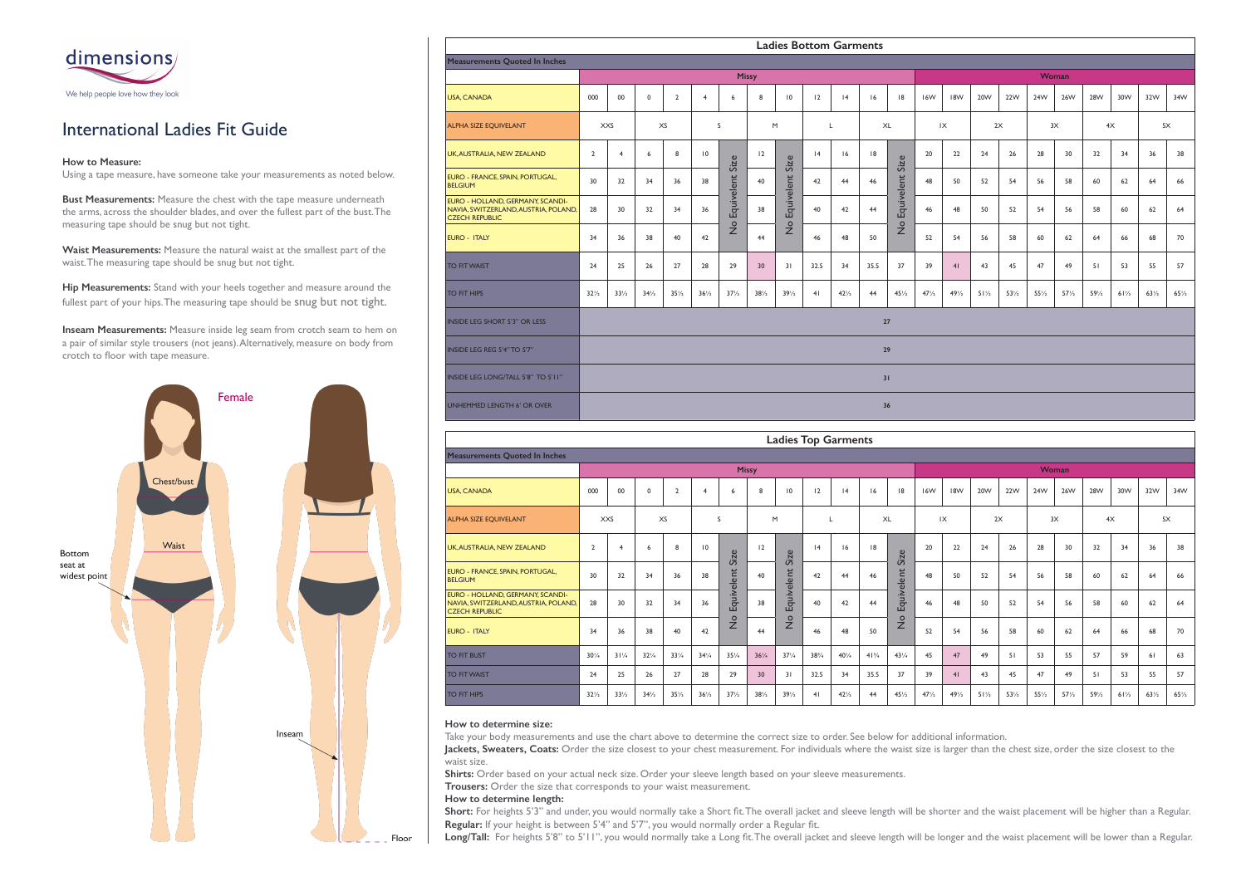



# International Ladies Fit Guide

### **How to Measure:**

Using a tape measure, have someone take your measurements as noted below.

**Bust Measurements:** Measure the chest with the tape measure underneath the arms, across the shoulder blades, and over the fullest part of the bust. The measuring tape should be snug but not tight.

**Waist Measurements:** Measure the natural waist at the smallest part of the waist. The measuring tape should be snug but not tight.

**Hip Measurements:** Stand with your heels together and measure around the fullest part of your hips. The measuring tape should be snug but not tight.

**Inseam Measurements:** Measure inside leg seam from crotch seam to hem on a pair of similar style trousers (not jeans). Alternatively, measure on body from crotch to floor with tape measure.

|                                                                                                   |                       |                 |                 |                 |                 |                 |                 |                 |      | <b>Ladies Bottom Garments</b> |      |                 |                 |                 |                 |                 |                 |                 |                 |                 |                 |                 |
|---------------------------------------------------------------------------------------------------|-----------------------|-----------------|-----------------|-----------------|-----------------|-----------------|-----------------|-----------------|------|-------------------------------|------|-----------------|-----------------|-----------------|-----------------|-----------------|-----------------|-----------------|-----------------|-----------------|-----------------|-----------------|
| <b>Measurements Quoted In Inches</b>                                                              |                       |                 |                 |                 |                 |                 |                 |                 |      |                               |      |                 |                 |                 |                 |                 |                 |                 |                 |                 |                 |                 |
|                                                                                                   |                       |                 |                 |                 |                 |                 | <b>Missy</b>    |                 |      |                               |      |                 |                 |                 |                 |                 |                 | Woman           |                 |                 |                 |                 |
| <b>USA, CANADA</b>                                                                                | 000                   | 00              | $\mathbf 0$     | $\overline{2}$  | $\overline{4}$  | 6               | 8               | 10              | 12   | 4                             | 16   | 8               | 16W             | 18W             | 20 <sub>W</sub> | 22W             | 24W             | 26W             | 28W             | 30W             | 32W             | 34W             |
| <b>ALPHA SIZE EQUIVELANT</b>                                                                      | <b>XXS</b><br>XS<br>S |                 |                 |                 |                 |                 |                 | M               |      | L                             |      | XL              |                 | IX              |                 | 2X              | 3X              |                 | 4X              |                 |                 | 5X              |
| UK, AUSTRALIA, NEW ZEALAND                                                                        | $\overline{2}$        | $\overline{4}$  | 6               | 8               | $\overline{10}$ | Size            | 12              | Size            | 4    | 16                            | 8    | Size            | 20              | 22              | 24              | 26              | 28              | 30              | 32              | 34              | 36              | 38              |
| <b>EURO - FRANCE, SPAIN, PORTUGAL,</b><br><b>BELGIUM</b>                                          | 30                    | 32              | 34              | 36              | 38              |                 | 40              | Equivelent      | 42   | 44                            | 46   |                 | 48              | 50              | 52              | 54              | 56              | 58              | 60              | 62              | 64              | 66              |
| EURO - HOLLAND, GERMANY, SCANDI-<br>NAVIA, SWITZERLAND, AUSTRIA, POLAND,<br><b>CZECH REPUBLIC</b> | 28                    | 30              | 32              | 34              | 36              | Equivelent      | 38              |                 | 40   | 42                            | 44   | Equivelent !    | 46              | 48              | 50              | 52              | 54              | 56              | 58              | 60              | 62              | 64              |
| <b>EURO - ITALY</b>                                                                               | 34                    | 36              | 38              | 40              | 42              | $\frac{1}{2}$   | 44              | $\frac{1}{2}$   | 46   | 48                            | 50   | $\frac{1}{2}$   | 52              | 54              | 56              | 58              | 60              | 62              | 64              | 66              | 68              | 70              |
| <b>TO FIT WAIST</b>                                                                               | 24                    | 25              | 26              | 27              | 28              | 29              | 30              | 31              | 32.5 | 34                            | 35.5 | 37              | 39              | 41              | 43              | 45              | 47              | 49              | 51              | 53              | 55              | 57              |
| <b>TO FIT HIPS</b>                                                                                | $32\frac{1}{2}$       | $33\frac{1}{2}$ | $34\frac{1}{2}$ | $35\frac{1}{2}$ | $36\frac{1}{2}$ | $37\frac{1}{2}$ | $38\frac{1}{2}$ | $39\frac{1}{2}$ | 41   | $42\frac{1}{2}$               | 44   | $45\frac{1}{2}$ | $47\frac{1}{2}$ | $49\frac{1}{2}$ | $51\frac{1}{2}$ | $53\frac{1}{2}$ | $55\frac{1}{2}$ | $57\frac{1}{2}$ | $59\frac{1}{2}$ | $61\frac{1}{2}$ | $63\frac{1}{2}$ | $65\frac{1}{2}$ |
| <b>INSIDE LEG SHORT 5'3" OR LESS</b>                                                              |                       |                 |                 |                 |                 |                 |                 |                 |      |                               |      | 27              |                 |                 |                 |                 |                 |                 |                 |                 |                 |                 |
| INSIDE LEG REG 5'4" TO 5'7"                                                                       |                       |                 |                 |                 |                 |                 |                 |                 |      |                               |      | 29              |                 |                 |                 |                 |                 |                 |                 |                 |                 |                 |
| INSIDE LEG LONG/TALL 5'8" TO 5'11"                                                                |                       |                 |                 |                 |                 |                 |                 |                 |      |                               |      | 31              |                 |                 |                 |                 |                 |                 |                 |                 |                 |                 |
| UNHEMMED LENGTH 6' OR OVER                                                                        |                       |                 |                 |                 |                 |                 |                 |                 |      |                               |      | 36              |                 |                 |                 |                 |                 |                 |                 |                 |                 |                 |

Short: For heights 5'3" and under, you would normally take a Short fit. The overall jacket and sleeve length will be shorter and the waist placement will be higher than a Regular. **Regular:** If your height is between 5'4" and 5'7", you would normally order a Regular fit.

Long/Tall: For heights 5'8" to 5'11", you would normally take a Long fit. The overall jacket and sleeve length will be longer and the waist placement will be lower than a Regular.

|                                                                                                   |                 |                 |                 |                 |                 |                 |                 |                 |               | <b>Ladies Top Garments</b> |                 |                 |                 |                 |                 |                 |                 |                 |                 |                 |                 |                 |
|---------------------------------------------------------------------------------------------------|-----------------|-----------------|-----------------|-----------------|-----------------|-----------------|-----------------|-----------------|---------------|----------------------------|-----------------|-----------------|-----------------|-----------------|-----------------|-----------------|-----------------|-----------------|-----------------|-----------------|-----------------|-----------------|
| <b>Measurements Quoted In Inches</b>                                                              |                 |                 |                 |                 |                 |                 |                 |                 |               |                            |                 |                 |                 |                 |                 |                 |                 |                 |                 |                 |                 |                 |
|                                                                                                   |                 |                 |                 |                 |                 | <b>Missy</b>    |                 |                 |               |                            |                 |                 |                 |                 |                 |                 |                 | Woman           |                 |                 |                 |                 |
| <b>USA, CANADA</b>                                                                                | 000             | 00              | $\Omega$        | $\overline{2}$  | $\overline{4}$  | 6               | 8               | $\overline{10}$ | 12            | 4                          | 16              | 18              | 16W             | 18W             | 20 <sub>W</sub> | 22W             | 24W             | 26W             | 28W             | 30W             | 32W             | 34W             |
| <b>ALPHA SIZE EQUIVELANT</b>                                                                      | <b>XXS</b>      |                 | XS              |                 | S               |                 | M               |                 | L             |                            | XL              |                 | 1X              |                 | 2X              |                 | 3X              |                 | 4X              |                 | 5X              |                 |
| UK, AUSTRALIA, NEW ZEALAND                                                                        | $\overline{2}$  | $\overline{4}$  | -6              | 8               | 10              | Size            | 12              | Size            | 4             | 16                         | 8               | Size            | 20              | 22              | 24              | 26              | 28              | 30              | 32              | 34              | 36              | 38              |
| EURO - FRANCE, SPAIN, PORTUGAL,<br><b>BELGIUM</b>                                                 | 30              | 32              | 34              | 36              | 38              |                 | 40              |                 | 42            | 44                         | 46              |                 | 48              | 50              | 52              | 54              | 56              | 58              | 60              | 62              | 64              | 66              |
| EURO - HOLLAND, GERMANY, SCANDI-<br>NAVIA, SWITZERLAND, AUSTRIA, POLAND,<br><b>CZECH REPUBLIC</b> | 28              | 30              | 32              | 34              | 36              | Equivelent      | 38              | Equivelent      | 40            | 42                         | 44              | Equivelent      | 46              | 48              | 50              | 52              | 54              | 56              | 58              | 60              | 62              | 64              |
| <b>EURO - ITALY</b>                                                                               | 34              | 36              | 38              | 40              | 42              | $\frac{1}{2}$   | 44              | $\frac{1}{2}$   | 46            | 48                         | 50              | $\frac{1}{2}$   | 52              | 54              | 56              | 58              | 60              | 62              | 64              | 66              | 68              | 70              |
| <b>TO FIT BUST</b>                                                                                | $30\frac{1}{4}$ | $31\frac{1}{4}$ | $32\frac{1}{4}$ | $33\frac{1}{4}$ | $34\frac{1}{4}$ | $35\frac{1}{4}$ | $36\frac{1}{4}$ | $37\frac{1}{4}$ | $38^{3}/_{4}$ | $40\frac{1}{4}$            | $41\frac{3}{4}$ | $43\frac{1}{4}$ | 45              | 47              | 49              | 51              | 53              | 55              | 57              | 59              | 61              | 63              |
| <b>TO FIT WAIST</b>                                                                               | 24              | 25              | 26              | 27              | 28              | 29              | 30              | 31              | 32.5          | 34                         | 35.5            | 37              | 39              | 41              | 43              | 45              | 47              | 49              | 51              | 53              | 55              | 57              |
| <b>TO FIT HIPS</b>                                                                                | $32\frac{1}{2}$ | $33\frac{1}{2}$ | $34\frac{1}{2}$ | $35\frac{1}{2}$ | $36\frac{1}{2}$ | $37\frac{1}{2}$ | 38/2            | $39\frac{1}{2}$ | 41            | $42\frac{1}{2}$            | 44              | $45\frac{1}{2}$ | $47\frac{1}{2}$ | $49\frac{1}{2}$ | $51\frac{1}{2}$ | $53\frac{1}{2}$ | $55\frac{1}{2}$ | $57\frac{1}{2}$ | $59\frac{1}{2}$ | $61\frac{1}{2}$ | $63\frac{1}{2}$ | $65\frac{1}{2}$ |

#### **How to determine size:**

Take your body measurements and use the chart above to determine the correct size to order. See below for additional information. Jackets, Sweaters, Coats: Order the size closest to your chest measurement. For individuals where the waist size is larger than the chest size, order the size closest to the waist size.

Shirts: Order based on your actual neck size. Order your sleeve length based on your sleeve measurements.

**Trousers:** Order the size that corresponds to your waist measurement.

### **How to determine length:**